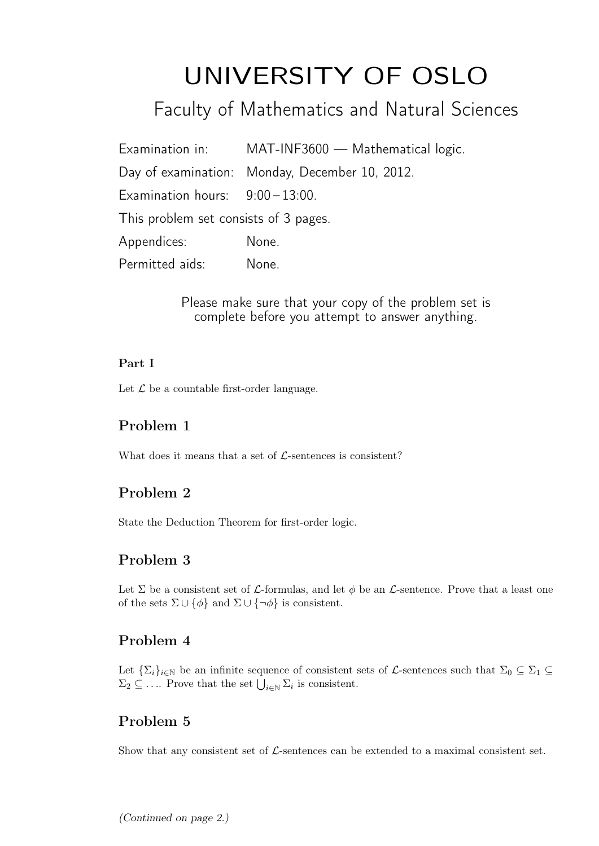# UNIVERSITY OF OSLO

Faculty of Mathematics and Natural Sciences

Examination in: MAT-INF3600 — Mathematical logic. Day of examination: Monday, December 10, 2012. Examination hours:  $9:00-13:00$ . This problem set consists of 3 pages. Appendices: None. Permitted aids: None.

> Please make sure that your copy of the problem set is complete before you attempt to answer anything.

#### Part I

Let  $\mathcal L$  be a countable first-order language.

## Problem 1

What does it means that a set of  $\mathcal{L}$ -sentences is consistent?

## Problem 2

State the Deduction Theorem for first-order logic.

## Problem 3

Let  $\Sigma$  be a consistent set of  $\mathcal{L}$ -formulas, and let  $\phi$  be an  $\mathcal{L}$ -sentence. Prove that a least one of the sets  $\Sigma \cup {\phi}$  and  $\Sigma \cup {\neg \phi}$  is consistent.

## Problem 4

Let  $\{\Sigma_i\}_{i\in\mathbb{N}}$  be an infinite sequence of consistent sets of L-sentences such that  $\Sigma_0\subseteq\Sigma_1\subseteq$  $\Sigma_2 \subseteq \ldots$  Prove that the set  $\bigcup_{i \in \mathbb{N}} \Sigma_i$  is consistent.

# Problem 5

Show that any consistent set of  $\mathcal{L}$ -sentences can be extended to a maximal consistent set.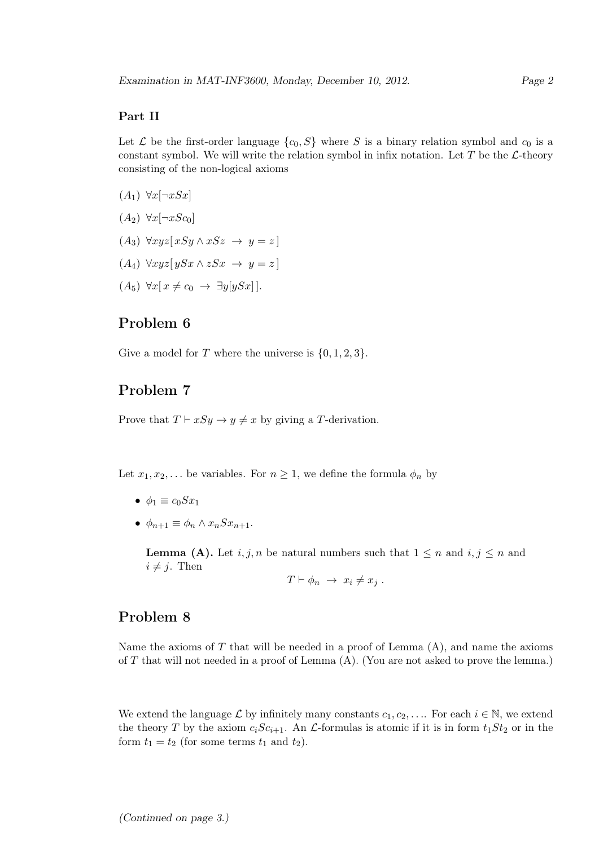#### Part II

Let  $\mathcal L$  be the first-order language  $\{c_0, S\}$  where S is a binary relation symbol and  $c_0$  is a constant symbol. We will write the relation symbol in infix notation. Let  $T$  be the  $\mathcal{L}\text{-theory}$ consisting of the non-logical axioms

- $(A_1) \ \forall x[\neg x Sx]$
- $(A_2) \ \forall x[\neg xSc_0]$
- $(A_3) \forall xyz [xSy \land xSz \rightarrow y = z]$
- $(A_4) \ \forall xyz[ySx \land zSx \rightarrow y = z]$
- $(A_5) \ \forall x \, \vert \, x \neq c_0 \rightarrow \exists y \, \vert y S x \vert \, \vert.$

## Problem 6

Give a model for T where the universe is  $\{0, 1, 2, 3\}.$ 

## Problem 7

Prove that  $T \vdash xSy \to y \neq x$  by giving a T-derivation.

Let  $x_1, x_2, \ldots$  be variables. For  $n \geq 1$ , we define the formula  $\phi_n$  by

- $\phi_1 \equiv c_0 S x_1$
- $\phi_{n+1} \equiv \phi_n \wedge x_n S x_{n+1}$ .

**Lemma (A).** Let  $i, j, n$  be natural numbers such that  $1 \leq n$  and  $i, j \leq n$  and  $i \neq j$ . Then

 $T \vdash \phi_n \rightarrow x_i \neq x_j$ .

## Problem 8

Name the axioms of  $T$  that will be needed in a proof of Lemma  $(A)$ , and name the axioms of  $T$  that will not needed in a proof of Lemma  $(A)$ . (You are not asked to prove the lemma.)

We extend the language L by infinitely many constants  $c_1, c_2, \ldots$  For each  $i \in \mathbb{N}$ , we extend the theory T by the axiom  $c_iSc_{i+1}$ . An L-formulas is atomic if it is in form  $t_1St_2$  or in the form  $t_1 = t_2$  (for some terms  $t_1$  and  $t_2$ ).